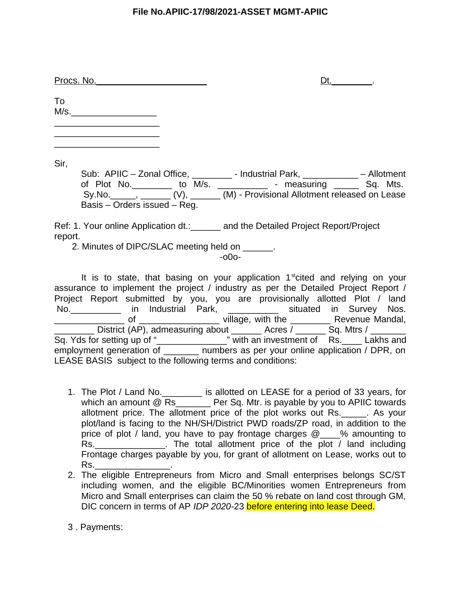| Procs. No. |
|------------|
|------------|

 $Dt.$ 

To  $M/s.$  $\overline{\phantom{a}}$  , which is a set of the set of the set of the set of the set of the set of the set of the set of the set of the set of the set of the set of the set of the set of the set of the set of the set of the set of th

 $\overline{\phantom{a}}$  , which is a set of the set of the set of the set of the set of the set of the set of the set of the set of the set of the set of the set of the set of the set of the set of the set of the set of the set of th  $\mathcal{L}_\text{max}$  , where  $\mathcal{L}_\text{max}$  , we have the set of  $\mathcal{L}_\text{max}$ 

Sir,

Sub: APIIC – Zonal Office, \_\_\_\_\_\_\_\_\_ - Industrial Park, \_\_\_\_\_\_\_\_\_\_\_\_ – Allotment of Plot No. \_\_\_\_\_\_\_\_ to M/s. \_\_\_\_\_\_\_\_\_\_\_\_ - measuring \_\_\_\_\_\_ Sq. Mts. Sy.No.\_\_\_\_\_, \_\_\_\_\_\_ (V), \_\_\_\_\_\_ (M) - Provisional Allotment released on Lease Basis – Orders issued – Reg.

Ref: 1. Your online Application dt.: \_\_\_\_\_\_ and the Detailed Project Report/Project report.

2. Minutes of DIPC/SLAC meeting held on  $\qquad \qquad$ .

-o0o-

It is to state, that basing on your application  $1<sup>st</sup>$ cited and relying on your assurance to implement the project / industry as per the Detailed Project Report / Project Report submitted by you, you are provisionally allotted Plot / land No.\_\_\_\_\_\_\_\_\_\_ in Industrial Park, \_\_\_\_\_\_\_\_\_\_ situated in Survey Nos. \_\_\_\_\_\_\_\_\_\_\_\_\_\_ of \_\_\_\_\_\_\_\_\_\_\_\_\_\_\_\_ village, with the \_\_\_\_\_\_\_\_ Revenue Mandal, \_\_\_\_\_\_\_\_ District (AP), admeasuring about \_\_\_\_\_\_ Acres / \_\_\_\_\_\_ Sq. Mtrs / \_\_\_\_\_\_\_ Sq. Yds for setting up of "\_\_\_\_\_\_\_\_\_\_\_\_\_\_\_\_\_" with an investment of Rs. \_\_\_\_ Lakhs and employment generation of \_\_\_\_\_\_\_ numbers as per your online application / DPR, on LEASE BASIS subject to the following terms and conditions:

- 1. The Plot / Land No.\_\_\_\_\_\_\_\_ is allotted on LEASE for a period of 33 years, for which an amount  $@$  Rs  $Q$  Per Sq. Mtr. is payable by you to APIIC towards allotment price. The allotment price of the plot works out Rs. As your plot/land is facing to the NH/SH/District PWD roads/ZP road, in addition to the price of plot / land, you have to pay frontage charges  $\varpi$  % amounting to Rs. The total allotment price of the plot / land including Frontage charges payable by you, for grant of allotment on Lease, works out to Rs.\_\_\_\_\_\_\_\_\_\_\_\_\_\_\_.
- 2. The eligible Entrepreneurs from Micro and Small enterprises belongs SC/ST including women, and the eligible BC/Minorities women Entrepreneurs from Micro and Small enterprises can claim the 50 % rebate on land cost through GM, DIC concern in terms of AP *IDP 2020-*23 before entering into lease Deed.
- 3 . Payments: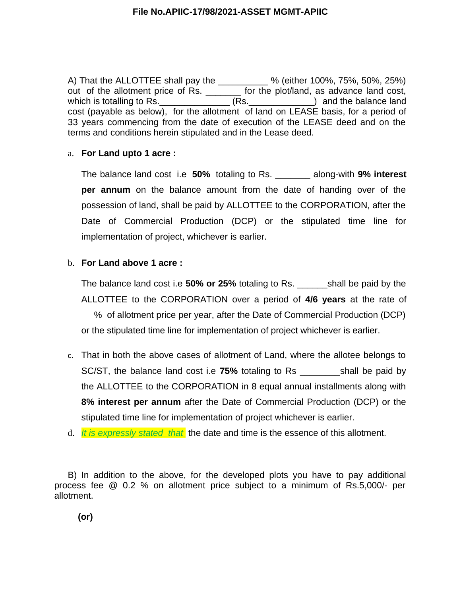A) That the ALLOTTEE shall pay the \_\_\_\_\_\_\_\_\_\_ % (either 100%, 75%, 50%, 25%) out of the allotment price of Rs. \_\_\_\_\_\_\_ for the plot/land, as advance land cost, which is totalling to Rs. The Contract CRS. The Contract of the balance land cost (payable as below), for the allotment of land on LEASE basis, for a period of 33 years commencing from the date of execution of the LEASE deed and on the terms and conditions herein stipulated and in the Lease deed.

# a. **For Land upto 1 acre :**

The balance land cost i.e **50%** totaling to Rs. \_\_\_\_\_\_\_ along-with **9% interest per annum** on the balance amount from the date of handing over of the possession of land, shall be paid by ALLOTTEE to the CORPORATION, after the Date of Commercial Production (DCP) or the stipulated time line for implementation of project, whichever is earlier.

# b. **For Land above 1 acre :**

The balance land cost i.e **50% or 25%** totaling to Rs. \_\_\_\_\_\_shall be paid by the ALLOTTEE to the CORPORATION over a period of **4/6 years** at the rate of % of allotment price per year, after the Date of Commercial Production (DCP) or the stipulated time line for implementation of project whichever is earlier.

- c. That in both the above cases of allotment of Land, where the allotee belongs to SC/ST, the balance land cost i.e **75%** totaling to Rs \_\_\_\_\_\_\_\_shall be paid by the ALLOTTEE to the CORPORATION in 8 equal annual installments along with **8% interest per annum** after the Date of Commercial Production (DCP) or the stipulated time line for implementation of project whichever is earlier.
- d. *It is expressly stated that* the date and time is the essence of this allotment.

B) In addition to the above, for the developed plots you have to pay additional process fee  $\varpi$  0.2 % on allotment price subject to a minimum of Rs.5,000/- per allotment.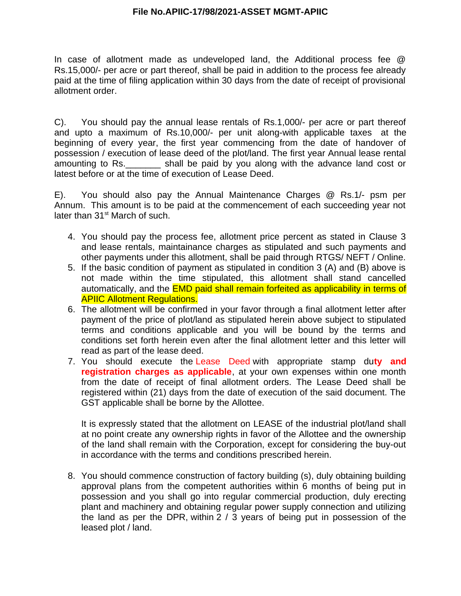In case of allotment made as undeveloped land, the Additional process fee  $\varpi$ Rs.15,000/- per acre or part thereof, shall be paid in addition to the process fee already paid at the time of filing application within 30 days from the date of receipt of provisional allotment order.

C). You should pay the annual lease rentals of Rs.1,000/- per acre or part thereof and upto a maximum of Rs.10,000/- per unit along-with applicable taxes at the beginning of every year, the first year commencing from the date of handover of possession / execution of lease deed of the plot/land. The first year Annual lease rental amounting to Rs. \_\_\_\_\_\_\_\_\_ shall be paid by you along with the advance land cost or latest before or at the time of execution of Lease Deed.

E). You should also pay the Annual Maintenance Charges  $\omega$  Rs.1/- psm per Annum. This amount is to be paid at the commencement of each succeeding year not later than  $31<sup>st</sup>$  March of such.

- 4. You should pay the process fee, allotment price percent as stated in Clause 3 and lease rentals, maintainance charges as stipulated and such payments and other payments under this allotment, shall be paid through RTGS/ NEFT / Online.
- 5. If the basic condition of payment as stipulated in condition 3 (A) and (B) above is not made within the time stipulated, this allotment shall stand cancelled automatically, and the EMD paid shall remain forfeited as applicability in terms of APIIC Allotment Regulations.
- 6. The allotment will be confirmed in your favor through a final allotment letter after payment of the price of plot/land as stipulated herein above subject to stipulated terms and conditions applicable and you will be bound by the terms and conditions set forth herein even after the final allotment letter and this letter will read as part of the lease deed.
- 7. You should execute the Lease Deed with appropriate stamp du**ty and registration charges as applicable**, at your own expenses within one month from the date of receipt of final allotment orders. The Lease Deed shall be registered within (21) days from the date of execution of the said document. The GST applicable shall be borne by the Allottee.

It is expressly stated that the allotment on LEASE of the industrial plot/land shall at no point create any ownership rights in favor of the Allottee and the ownership of the land shall remain with the Corporation, except for considering the buy-out in accordance with the terms and conditions prescribed herein.

8. You should commence construction of factory building (s), duly obtaining building approval plans from the competent authorities within 6 months of being put in possession and you shall go into regular commercial production, duly erecting plant and machinery and obtaining regular power supply connection and utilizing the land as per the DPR, within 2 / 3 years of being put in possession of the leased plot / land.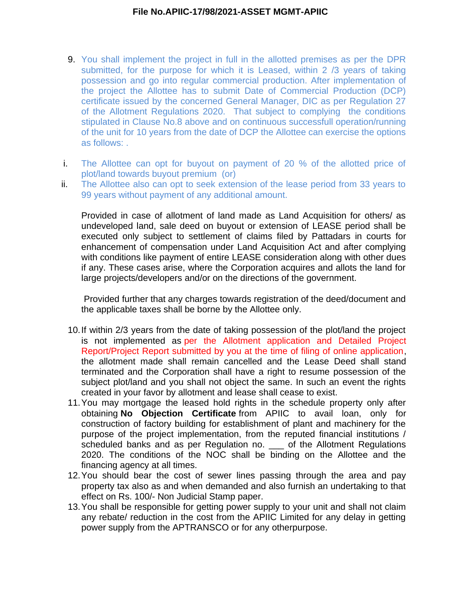- 9. You shall implement the project in full in the allotted premises as per the DPR submitted, for the purpose for which it is Leased, within 2 /3 years of taking possession and go into regular commercial production. After implementation of the project the Allottee has to submit Date of Commercial Production (DCP) certificate issued by the concerned General Manager, DIC as per Regulation 27 of the Allotment Regulations 2020. That subject to complying the conditions stipulated in Clause No.8 above and on continuous successfull operation/running of the unit for 10 years from the date of DCP the Allottee can exercise the options as follows: .
- i. The Allottee can opt for buyout on payment of 20 % of the allotted price of plot/land towards buyout premium (or)
- ii. The Allottee also can opt to seek extension of the lease period from 33 years to 99 years without payment of any additional amount.

Provided in case of allotment of land made as Land Acquisition for others/ as undeveloped land, sale deed on buyout or extension of LEASE period shall be executed only subject to settlement of claims filed by Pattadars in courts for enhancement of compensation under Land Acquisition Act and after complying with conditions like payment of entire LEASE consideration along with other dues if any. These cases arise, where the Corporation acquires and allots the land for large projects/developers and/or on the directions of the government.

 Provided further that any charges towards registration of the deed/document and the applicable taxes shall be borne by the Allottee only.

- 10.If within 2/3 years from the date of taking possession of the plot/land the project is not implemented as per the Allotment application and Detailed Project Report/Project Report submitted by you at the time of filing of online application, the allotment made shall remain cancelled and the Lease Deed shall stand terminated and the Corporation shall have a right to resume possession of the subject plot/land and you shall not object the same. In such an event the rights created in your favor by allotment and lease shall cease to exist.
- 11.You may mortgage the leased hold rights in the schedule property only after obtaining **No Objection Certificate** from APIIC to avail loan, only for construction of factory building for establishment of plant and machinery for the purpose of the project implementation, from the reputed financial institutions / scheduled banks and as per Regulation no. \_\_\_ of the Allotment Regulations 2020. The conditions of the NOC shall be binding on the Allottee and the financing agency at all times.
- 12.You should bear the cost of sewer lines passing through the area and pay property tax also as and when demanded and also furnish an undertaking to that effect on Rs. 100/- Non Judicial Stamp paper.
- 13.You shall be responsible for getting power supply to your unit and shall not claim any rebate/ reduction in the cost from the APIIC Limited for any delay in getting power supply from the APTRANSCO or for any otherpurpose.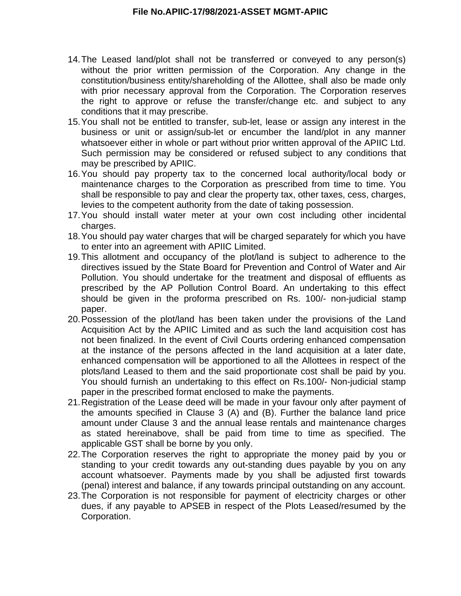- 14.The Leased land/plot shall not be transferred or conveyed to any person(s) without the prior written permission of the Corporation. Any change in the constitution/business entity/shareholding of the Allottee, shall also be made only with prior necessary approval from the Corporation. The Corporation reserves the right to approve or refuse the transfer/change etc. and subject to any conditions that it may prescribe.
- 15.You shall not be entitled to transfer, sub-let, lease or assign any interest in the business or unit or assign/sub-let or encumber the land/plot in any manner whatsoever either in whole or part without prior written approval of the APIIC Ltd. Such permission may be considered or refused subject to any conditions that may be prescribed by APIIC.
- 16.You should pay property tax to the concerned local authority/local body or maintenance charges to the Corporation as prescribed from time to time. You shall be responsible to pay and clear the property tax, other taxes, cess, charges, levies to the competent authority from the date of taking possession.
- 17.You should install water meter at your own cost including other incidental charges.
- 18.You should pay water charges that will be charged separately for which you have to enter into an agreement with APIIC Limited.
- 19.This allotment and occupancy of the plot/land is subject to adherence to the directives issued by the State Board for Prevention and Control of Water and Air Pollution. You should undertake for the treatment and disposal of effluents as prescribed by the AP Pollution Control Board. An undertaking to this effect should be given in the proforma prescribed on Rs. 100/- non-judicial stamp paper.
- 20.Possession of the plot/land has been taken under the provisions of the Land Acquisition Act by the APIIC Limited and as such the land acquisition cost has not been finalized. In the event of Civil Courts ordering enhanced compensation at the instance of the persons affected in the land acquisition at a later date, enhanced compensation will be apportioned to all the Allottees in respect of the plots/land Leased to them and the said proportionate cost shall be paid by you. You should furnish an undertaking to this effect on Rs.100/- Non-judicial stamp paper in the prescribed format enclosed to make the payments.
- 21.Registration of the Lease deed will be made in your favour only after payment of the amounts specified in Clause 3 (A) and (B). Further the balance land price amount under Clause 3 and the annual lease rentals and maintenance charges as stated hereinabove, shall be paid from time to time as specified. The applicable GST shall be borne by you only.
- 22.The Corporation reserves the right to appropriate the money paid by you or standing to your credit towards any out-standing dues payable by you on any account whatsoever. Payments made by you shall be adjusted first towards (penal) interest and balance, if any towards principal outstanding on any account.
- 23.The Corporation is not responsible for payment of electricity charges or other dues, if any payable to APSEB in respect of the Plots Leased/resumed by the Corporation.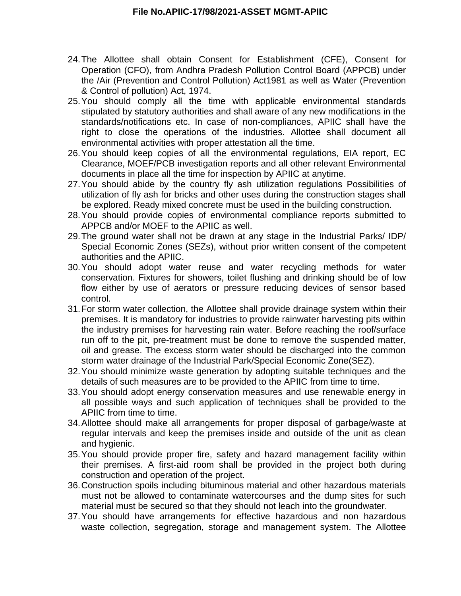- 24.The Allottee shall obtain Consent for Establishment (CFE), Consent for Operation (CFO), from Andhra Pradesh Pollution Control Board (APPCB) under the /Air (Prevention and Control Pollution) Act1981 as well as Water (Prevention & Control of pollution) Act, 1974.
- 25.You should comply all the time with applicable environmental standards stipulated by statutory authorities and shall aware of any new modifications in the standards/notifications etc. In case of non-compliances, APIIC shall have the right to close the operations of the industries. Allottee shall document all environmental activities with proper attestation all the time.
- 26.You should keep copies of all the environmental regulations, EIA report, EC Clearance, MOEF/PCB investigation reports and all other relevant Environmental documents in place all the time for inspection by APIIC at anytime.
- 27.You should abide by the country fly ash utilization regulations Possibilities of utilization of fly ash for bricks and other uses during the construction stages shall be explored. Ready mixed concrete must be used in the building construction.
- 28.You should provide copies of environmental compliance reports submitted to APPCB and/or MOEF to the APIIC as well.
- 29.The ground water shall not be drawn at any stage in the Industrial Parks/ IDP/ Special Economic Zones (SEZs), without prior written consent of the competent authorities and the APIIC.
- 30.You should adopt water reuse and water recycling methods for water conservation. Fixtures for showers, toilet flushing and drinking should be of low flow either by use of aerators or pressure reducing devices of sensor based control.
- 31.For storm water collection, the Allottee shall provide drainage system within their premises. It is mandatory for industries to provide rainwater harvesting pits within the industry premises for harvesting rain water. Before reaching the roof/surface run off to the pit, pre-treatment must be done to remove the suspended matter, oil and grease. The excess storm water should be discharged into the common storm water drainage of the Industrial Park/Special Economic Zone(SEZ).
- 32.You should minimize waste generation by adopting suitable techniques and the details of such measures are to be provided to the APIIC from time to time.
- 33.You should adopt energy conservation measures and use renewable energy in all possible ways and such application of techniques shall be provided to the APIIC from time to time.
- 34.Allottee should make all arrangements for proper disposal of garbage/waste at regular intervals and keep the premises inside and outside of the unit as clean and hygienic.
- 35.You should provide proper fire, safety and hazard management facility within their premises. A first-aid room shall be provided in the project both during construction and operation of the project.
- 36.Construction spoils including bituminous material and other hazardous materials must not be allowed to contaminate watercourses and the dump sites for such material must be secured so that they should not leach into the groundwater.
- 37.You should have arrangements for effective hazardous and non hazardous waste collection, segregation, storage and management system. The Allottee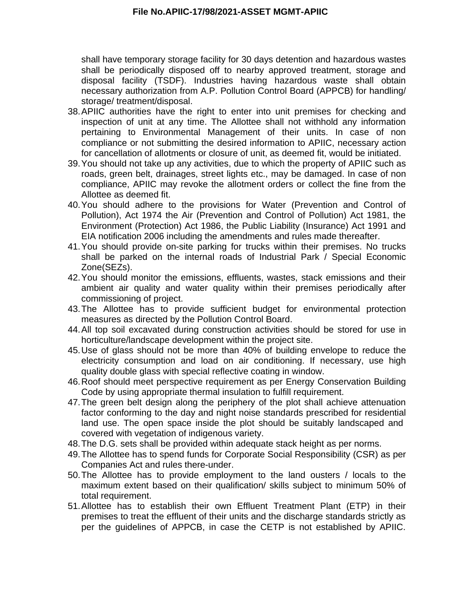shall have temporary storage facility for 30 days detention and hazardous wastes shall be periodically disposed off to nearby approved treatment, storage and disposal facility (TSDF). Industries having hazardous waste shall obtain necessary authorization from A.P. Pollution Control Board (APPCB) for handling/ storage/ treatment/disposal.

- 38.APIIC authorities have the right to enter into unit premises for checking and inspection of unit at any time. The Allottee shall not withhold any information pertaining to Environmental Management of their units. In case of non compliance or not submitting the desired information to APIIC, necessary action for cancellation of allotments or closure of unit, as deemed fit, would be initiated.
- 39.You should not take up any activities, due to which the property of APIIC such as roads, green belt, drainages, street lights etc., may be damaged. In case of non compliance, APIIC may revoke the allotment orders or collect the fine from the Allottee as deemed fit.
- 40.You should adhere to the provisions for Water (Prevention and Control of Pollution), Act 1974 the Air (Prevention and Control of Pollution) Act 1981, the Environment (Protection) Act 1986, the Public Liability (Insurance) Act 1991 and EIA notification 2006 including the amendments and rules made thereafter.
- 41.You should provide on-site parking for trucks within their premises. No trucks shall be parked on the internal roads of Industrial Park / Special Economic Zone(SEZs).
- 42.You should monitor the emissions, effluents, wastes, stack emissions and their ambient air quality and water quality within their premises periodically after commissioning of project.
- 43.The Allottee has to provide sufficient budget for environmental protection measures as directed by the Pollution Control Board.
- 44.All top soil excavated during construction activities should be stored for use in horticulture/landscape development within the project site.
- 45.Use of glass should not be more than 40% of building envelope to reduce the electricity consumption and load on air conditioning. If necessary, use high quality double glass with special reflective coating in window.
- 46.Roof should meet perspective requirement as per Energy Conservation Building Code by using appropriate thermal insulation to fulfill requirement.
- 47.The green belt design along the periphery of the plot shall achieve attenuation factor conforming to the day and night noise standards prescribed for residential land use. The open space inside the plot should be suitably landscaped and covered with vegetation of indigenous variety.
- 48.The D.G. sets shall be provided within adequate stack height as per norms.
- 49.The Allottee has to spend funds for Corporate Social Responsibility (CSR) as per Companies Act and rules there-under.
- 50.The Allottee has to provide employment to the land ousters / locals to the maximum extent based on their qualification/ skills subject to minimum 50% of total requirement.
- 51.Allottee has to establish their own Effluent Treatment Plant (ETP) in their premises to treat the effluent of their units and the discharge standards strictly as per the guidelines of APPCB, in case the CETP is not established by APIIC.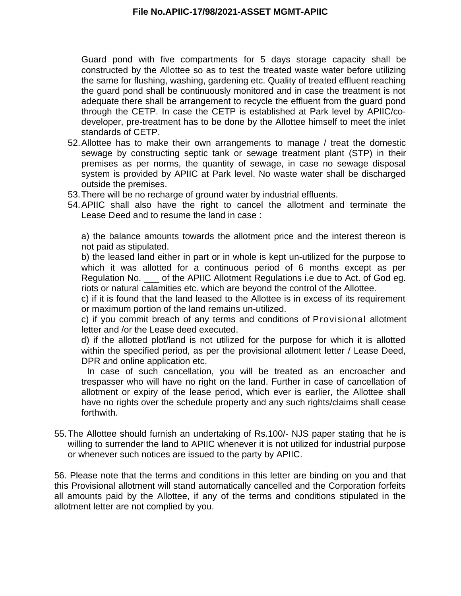Guard pond with five compartments for 5 days storage capacity shall be constructed by the Allottee so as to test the treated waste water before utilizing the same for flushing, washing, gardening etc. Quality of treated effluent reaching the guard pond shall be continuously monitored and in case the treatment is not adequate there shall be arrangement to recycle the effluent from the guard pond through the CETP. In case the CETP is established at Park level by APIIC/codeveloper, pre-treatment has to be done by the Allottee himself to meet the inlet standards of CETP.

- 52.Allottee has to make their own arrangements to manage / treat the domestic sewage by constructing septic tank or sewage treatment plant (STP) in their premises as per norms, the quantity of sewage, in case no sewage disposal system is provided by APIIC at Park level. No waste water shall be discharged outside the premises.
- 53.There will be no recharge of ground water by industrial effluents.
- 54.APIIC shall also have the right to cancel the allotment and terminate the Lease Deed and to resume the land in case :

a) the balance amounts towards the allotment price and the interest thereon is not paid as stipulated.

b) the leased land either in part or in whole is kept un-utilized for the purpose to which it was allotted for a continuous period of 6 months except as per Regulation No. \_\_\_ of the APIIC Allotment Regulations i.e due to Act. of God eg. riots or natural calamities etc. which are beyond the control of the Allottee.

c) if it is found that the land leased to the Allottee is in excess of its requirement or maximum portion of the land remains un-utilized.

c) if you commit breach of any terms and conditions of Provisional allotment letter and /or the Lease deed executed.

d) if the allotted plot/land is not utilized for the purpose for which it is allotted within the specified period, as per the provisional allotment letter / Lease Deed, DPR and online application etc.

 In case of such cancellation, you will be treated as an encroacher and trespasser who will have no right on the land. Further in case of cancellation of allotment or expiry of the lease period, which ever is earlier, the Allottee shall have no rights over the schedule property and any such rights/claims shall cease forthwith.

55.The Allottee should furnish an undertaking of Rs.100/- NJS paper stating that he is willing to surrender the land to APIIC whenever it is not utilized for industrial purpose or whenever such notices are issued to the party by APIIC.

56. Please note that the terms and conditions in this letter are binding on you and that this Provisional allotment will stand automatically cancelled and the Corporation forfeits all amounts paid by the Allottee, if any of the terms and conditions stipulated in the allotment letter are not complied by you.